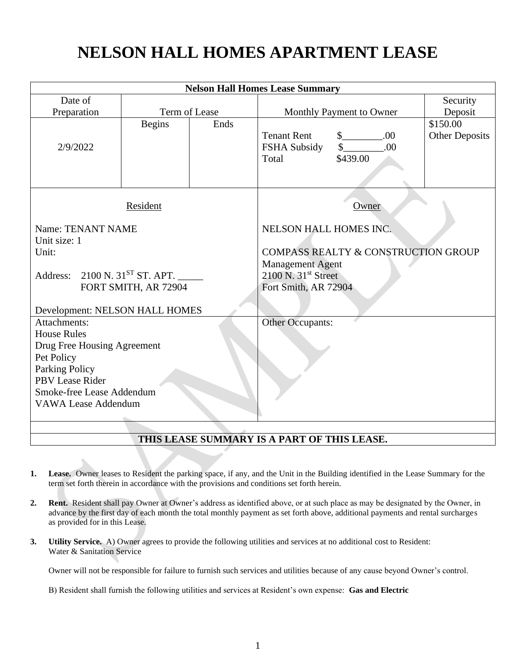# **NELSON HALL HOMES APARTMENT LEASE**

| <b>Nelson Hall Homes Lease Summary</b>     |               |                         |                                                |                      |                       |
|--------------------------------------------|---------------|-------------------------|------------------------------------------------|----------------------|-----------------------|
| Date of                                    |               |                         |                                                |                      | Security              |
| Preparation                                | Term of Lease |                         | Monthly Payment to Owner                       |                      | Deposit               |
|                                            | <b>Begins</b> | Ends                    |                                                |                      | \$150.00              |
|                                            |               |                         | <b>Tenant Rent</b>                             | $\mathbb{S}$<br>.00  | <b>Other Deposits</b> |
| 2/9/2022                                   |               |                         | FSHA Subsidy                                   | $\frac{1}{2}$<br>.00 |                       |
|                                            |               |                         | Total                                          | \$439.00             |                       |
|                                            |               |                         |                                                |                      |                       |
|                                            |               |                         |                                                |                      |                       |
| Resident                                   |               | Owner                   |                                                |                      |                       |
| Name: TENANT NAME                          |               | NELSON HALL HOMES INC.  |                                                |                      |                       |
| Unit size: 1                               |               |                         |                                                |                      |                       |
| Unit:                                      |               |                         | <b>COMPASS REALTY &amp; CONSTRUCTION GROUP</b> |                      |                       |
|                                            |               |                         | <b>Management Agent</b>                        |                      |                       |
| Address: 2100 N. 31 <sup>ST</sup> ST. APT. |               | $2100$ N. $31st$ Street |                                                |                      |                       |
| FORT SMITH, AR 72904                       |               | Fort Smith, AR 72904    |                                                |                      |                       |
|                                            |               |                         |                                                |                      |                       |
| Development: NELSON HALL HOMES             |               |                         |                                                |                      |                       |
| Attachments:                               |               | Other Occupants:        |                                                |                      |                       |
| <b>House Rules</b>                         |               |                         |                                                |                      |                       |
| Drug Free Housing Agreement<br>Pet Policy  |               |                         |                                                |                      |                       |
| <b>Parking Policy</b>                      |               |                         |                                                |                      |                       |
| PBV Lease Rider                            |               |                         |                                                |                      |                       |
| Smoke-free Lease Addendum                  |               |                         |                                                |                      |                       |
| <b>VAWA Lease Addendum</b>                 |               |                         |                                                |                      |                       |
|                                            |               |                         |                                                |                      |                       |
|                                            |               |                         |                                                |                      |                       |

#### **THIS LEASE SUMMARY IS A PART OF THIS LEASE.**

- **1. Lease.** Owner leases to Resident the parking space, if any, and the Unit in the Building identified in the Lease Summary for the term set forth therein in accordance with the provisions and conditions set forth herein.
- **2. Rent.** Resident shall pay Owner at Owner's address as identified above, or at such place as may be designated by the Owner, in advance by the first day of each month the total monthly payment as set forth above, additional payments and rental surcharges as provided for in this Lease.
- **3. Utility Service.** A) Owner agrees to provide the following utilities and services at no additional cost to Resident: Water & Sanitation Service

Owner will not be responsible for failure to furnish such services and utilities because of any cause beyond Owner's control.

B) Resident shall furnish the following utilities and services at Resident's own expense: **Gas and Electric**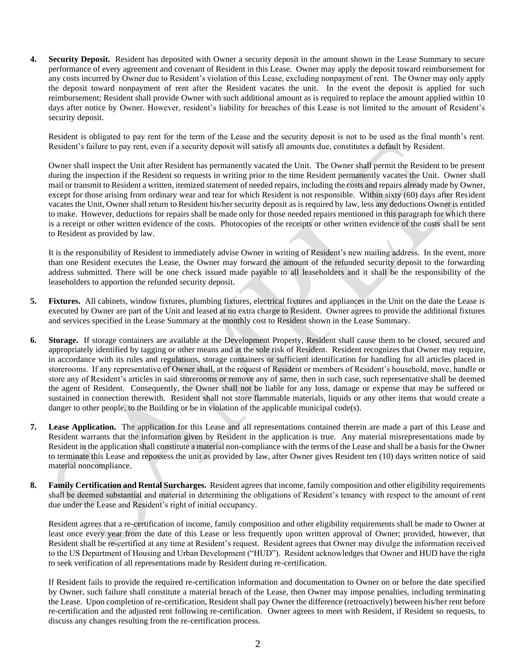**4. Security Deposit.** Resident has deposited with Owner a security deposit in the amount shown in the Lease Summary to secure performance of every agreement and covenant of Resident in this Lease. Owner may apply the deposit toward reimbursement for any costs incurred by Owner due to Resident's violation of this Lease, excluding nonpayment of rent. The Owner may only apply the deposit toward nonpayment of rent after the Resident vacates the unit. In the event the deposit is applied for such reimbursement; Resident shall provide Owner with such additional amount as is required to replace the amount applied within 10 days after notice by Owner. However, resident's liability for breaches of this Lease is not limited to the amount of Resident's security deposit.

Resident is obligated to pay rent for the term of the Lease and the security deposit is not to be used as the final month's rent. Resident's failure to pay rent, even if a security deposit will satisfy all amounts due, constitutes a default by Resident.

Owner shall inspect the Unit after Resident has permanently vacated the Unit. The Owner shall permit the Resident to be present during the inspection if the Resident so requests in writing prior to the time Resident permanently vacates the Unit. Owner shall mail or transmit to Resident a written, itemized statement of needed repairs, including the costs and repairs already made by Owner, except for those arising from ordinary wear and tear for which Resident is not responsible. Within sixty (60) days after Resident vacates the Unit, Owner shall return to Resident his/her security deposit as is required by law, less any deductions Owner is entitled to make. However, deductions for repairs shall be made only for those needed repairs mentioned in this paragraph for which there is a receipt or other written evidence of the costs. Photocopies of the receipts or other written evidence of the costs shall be sent to Resident as provided by law.

It is the responsibility of Resident to immediately advise Owner in writing of Resident's new mailing address. In the event, more than one Resident executes the Lease, the Owner may forward the amount of the refunded security deposit to the forwarding address submitted. There will be one check issued made payable to all leaseholders and it shall be the responsibility of the leaseholders to apportion the refunded security deposit.

- **5. Fixtures.** All cabinets, window fixtures, plumbing fixtures, electrical fixtures and appliances in the Unit on the date the Lease is executed by Owner are part of the Unit and leased at no extra charge to Resident. Owner agrees to provide the additional fixtures and services specified in the Lease Summary at the monthly cost to Resident shown in the Lease Summary.
- **6. Storage.** If storage containers are available at the Development Property, Resident shall cause them to be closed, secured and appropriately identified by tagging or other means and at the sole risk of Resident. Resident recognizes that Owner may require, in accordance with its rules and regulations, storage containers or sufficient identification for handling for all articles placed in storerooms. If any representative of Owner shall, at the request of Resident or members of Resident's household, move, handle or store any of Resident's articles in said storerooms or remove any of same, then in such case, such representative shall be deemed the agent of Resident. Consequently, the Owner shall not be liable for any loss, damage or expense that may be suffered or sustained in connection therewith. Resident shall not store flammable materials, liquids or any other items that would create a danger to other people, to the Building or be in violation of the applicable municipal code(s).
- **7. Lease Application.** The application for this Lease and all representations contained therein are made a part of this Lease and Resident warrants that the information given by Resident in the application is true. Any material misrepresentations made by Resident in the application shall constitute a material non-compliance with the terms of the Lease and shall be a basis for the Owner to terminate this Lease and repossess the unit as provided by law, after Owner gives Resident ten (10) days written notice of said material noncompliance.
- **8. Family Certification and Rental Surcharges.** Resident agrees that income, family composition and other eligibility requirements shall be deemed substantial and material in determining the obligations of Resident's tenancy with respect to the amount of rent due under the Lease and Resident's right of initial occupancy.

Resident agrees that a re-certification of income, family composition and other eligibility requirements shall be made to Owner at least once every year from the date of this Lease or less frequently upon written approval of Owner; provided, however, that Resident shall be re-certified at any time at Resident's request. Resident agrees that Owner may divulge the information received to the US Department of Housing and Urban Development ("HUD"). Resident acknowledges that Owner and HUD have the right to seek verification of all representations made by Resident during re-certification.

If Resident fails to provide the required re-certification information and documentation to Owner on or before the date specified by Owner, such failure shall constitute a material breach of the Lease, then Owner may impose penalties, including terminating the Lease. Upon completion of re-certification, Resident shall pay Owner the difference (retroactively) between his/her rent before re-certification and the adjusted rent following re-certification. Owner agrees to meet with Resident, if Resident so requests, to discuss any changes resulting from the re-certification process.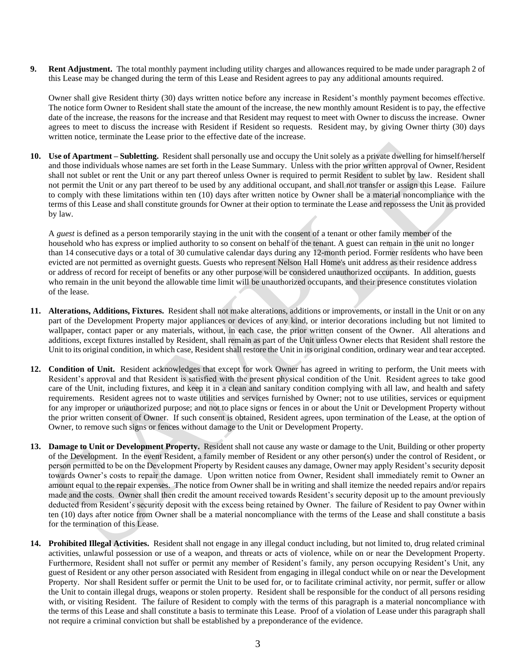**9. Rent Adjustment.** The total monthly payment including utility charges and allowances required to be made under paragraph 2 of this Lease may be changed during the term of this Lease and Resident agrees to pay any additional amounts required.

Owner shall give Resident thirty (30) days written notice before any increase in Resident's monthly payment becomes effective. The notice form Owner to Resident shall state the amount of the increase, the new monthly amount Resident is to pay, the effective date of the increase, the reasons for the increase and that Resident may request to meet with Owner to discuss the increase. Owner agrees to meet to discuss the increase with Resident if Resident so requests. Resident may, by giving Owner thirty (30) days written notice, terminate the Lease prior to the effective date of the increase.

**10. Use of Apartment – Subletting.** Resident shall personally use and occupy the Unit solely as a private dwelling for himself/herself and those individuals whose names are set forth in the Lease Summary. Unless with the prior written approval of Owner, Resident shall not sublet or rent the Unit or any part thereof unless Owner is required to permit Resident to sublet by law. Resident shall not permit the Unit or any part thereof to be used by any additional occupant, and shall not transfer or assign this Lease. Failure to comply with these limitations within ten (10) days after written notice by Owner shall be a material noncompliance with the terms of this Lease and shall constitute grounds for Owner at their option to terminate the Lease and repossess the Unit as provided by law.

A *guest* is defined as a person temporarily staying in the unit with the consent of a tenant or other family member of the household who has express or implied authority to so consent on behalf of the tenant. A guest can remain in the unit no longer than 14 consecutive days or a total of 30 cumulative calendar days during any 12-month period. Former residents who have been evicted are not permitted as overnight guests. Guests who represent Nelson Hall Home's unit address as their residence address or address of record for receipt of benefits or any other purpose will be considered unauthorized occupants. In addition, guests who remain in the unit beyond the allowable time limit will be unauthorized occupants, and their presence constitutes violation of the lease.

- **11. Alterations, Additions, Fixtures.** Resident shall not make alterations, additions or improvements, or install in the Unit or on any part of the Development Property major appliances or devices of any kind, or interior decorations including but not limited to wallpaper, contact paper or any materials, without, in each case, the prior written consent of the Owner. All alterations and additions, except fixtures installed by Resident, shall remain as part of the Unit unless Owner elects that Resident shall restore the Unit to its original condition, in which case, Resident shall restore the Unit in its original condition, ordinary wear and tear accepted.
- **12. Condition of Unit.** Resident acknowledges that except for work Owner has agreed in writing to perform, the Unit meets with Resident's approval and that Resident is satisfied with the present physical condition of the Unit. Resident agrees to take good care of the Unit, including fixtures, and keep it in a clean and sanitary condition complying with all law, and health and safety requirements. Resident agrees not to waste utilities and services furnished by Owner; not to use utilities, services or equipment for any improper or unauthorized purpose; and not to place signs or fences in or about the Unit or Development Property without the prior written consent of Owner. If such consent is obtained, Resident agrees, upon termination of the Lease, at the option of Owner, to remove such signs or fences without damage to the Unit or Development Property.
- **13. Damage to Unit or Development Property.** Resident shall not cause any waste or damage to the Unit, Building or other property of the Development. In the event Resident, a family member of Resident or any other person(s) under the control of Resident, or person permitted to be on the Development Property by Resident causes any damage, Owner may apply Resident's security deposit towards Owner's costs to repair the damage. Upon written notice from Owner, Resident shall immediately remit to Owner an amount equal to the repair expenses. The notice from Owner shall be in writing and shall itemize the needed repairs and/or repairs made and the costs. Owner shall then credit the amount received towards Resident's security deposit up to the amount previously deducted from Resident's security deposit with the excess being retained by Owner. The failure of Resident to pay Owner within ten (10) days after notice from Owner shall be a material noncompliance with the terms of the Lease and shall constitute a basis for the termination of this Lease.
- **14. Prohibited Illegal Activities.** Resident shall not engage in any illegal conduct including, but not limited to, drug related criminal activities, unlawful possession or use of a weapon, and threats or acts of violence, while on or near the Development Property. Furthermore, Resident shall not suffer or permit any member of Resident's family, any person occupying Resident's Unit, any guest of Resident or any other person associated with Resident from engaging in illegal conduct while on or near the Development Property. Nor shall Resident suffer or permit the Unit to be used for, or to facilitate criminal activity, nor permit, suffer or allow the Unit to contain illegal drugs, weapons or stolen property. Resident shall be responsible for the conduct of all persons residing with, or visiting Resident. The failure of Resident to comply with the terms of this paragraph is a material noncompliance with the terms of this Lease and shall constitute a basis to terminate this Lease. Proof of a violation of Lease under this paragraph shall not require a criminal conviction but shall be established by a preponderance of the evidence.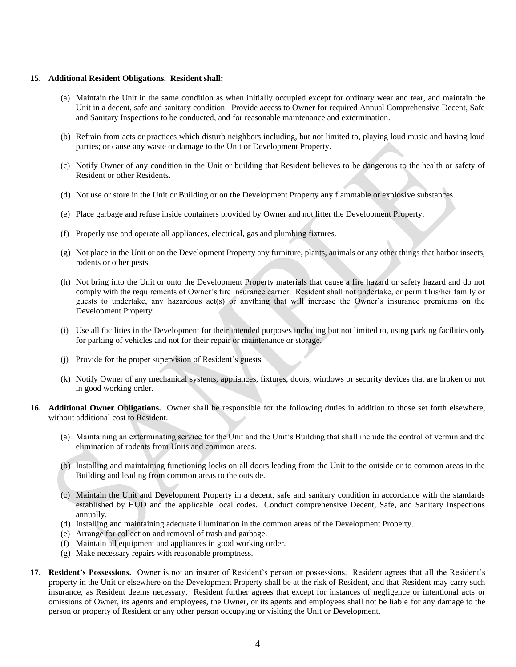#### **15. Additional Resident Obligations. Resident shall:**

- (a) Maintain the Unit in the same condition as when initially occupied except for ordinary wear and tear, and maintain the Unit in a decent, safe and sanitary condition. Provide access to Owner for required Annual Comprehensive Decent, Safe and Sanitary Inspections to be conducted, and for reasonable maintenance and extermination.
- (b) Refrain from acts or practices which disturb neighbors including, but not limited to, playing loud music and having loud parties; or cause any waste or damage to the Unit or Development Property.
- (c) Notify Owner of any condition in the Unit or building that Resident believes to be dangerous to the health or safety of Resident or other Residents.
- (d) Not use or store in the Unit or Building or on the Development Property any flammable or explosive substances.
- (e) Place garbage and refuse inside containers provided by Owner and not litter the Development Property.
- (f) Properly use and operate all appliances, electrical, gas and plumbing fixtures.
- (g) Not place in the Unit or on the Development Property any furniture, plants, animals or any other things that harbor insects, rodents or other pests.
- (h) Not bring into the Unit or onto the Development Property materials that cause a fire hazard or safety hazard and do not comply with the requirements of Owner's fire insurance carrier. Resident shall not undertake, or permit his/her family or guests to undertake, any hazardous act(s) or anything that will increase the Owner's insurance premiums on the Development Property.
- (i) Use all facilities in the Development for their intended purposes including but not limited to, using parking facilities only for parking of vehicles and not for their repair or maintenance or storage.
- (j) Provide for the proper supervision of Resident's guests.
- (k) Notify Owner of any mechanical systems, appliances, fixtures, doors, windows or security devices that are broken or not in good working order.
- **16. Additional Owner Obligations.** Owner shall be responsible for the following duties in addition to those set forth elsewhere, without additional cost to Resident.
	- (a) Maintaining an exterminating service for the Unit and the Unit's Building that shall include the control of vermin and the elimination of rodents from Units and common areas.
	- (b) Installing and maintaining functioning locks on all doors leading from the Unit to the outside or to common areas in the Building and leading from common areas to the outside.
	- (c) Maintain the Unit and Development Property in a decent, safe and sanitary condition in accordance with the standards established by HUD and the applicable local codes. Conduct comprehensive Decent, Safe, and Sanitary Inspections annually.
	- (d) Installing and maintaining adequate illumination in the common areas of the Development Property.
	- (e) Arrange for collection and removal of trash and garbage.
	- (f) Maintain all equipment and appliances in good working order.
	- (g) Make necessary repairs with reasonable promptness.
- **17. Resident's Possessions.** Owner is not an insurer of Resident's person or possessions. Resident agrees that all the Resident's property in the Unit or elsewhere on the Development Property shall be at the risk of Resident, and that Resident may carry such insurance, as Resident deems necessary. Resident further agrees that except for instances of negligence or intentional acts or omissions of Owner, its agents and employees, the Owner, or its agents and employees shall not be liable for any damage to the person or property of Resident or any other person occupying or visiting the Unit or Development.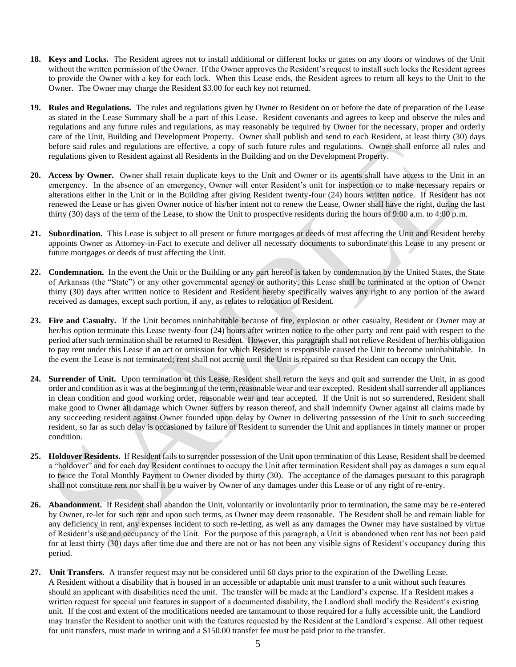- **18. Keys and Locks.** The Resident agrees not to install additional or different locks or gates on any doors or windows of the Unit without the written permission of the Owner. If the Owner approves the Resident's request to install such locks the Resident agrees to provide the Owner with a key for each lock. When this Lease ends, the Resident agrees to return all keys to the Unit to the Owner. The Owner may charge the Resident \$3.00 for each key not returned.
- **19. Rules and Regulations.** The rules and regulations given by Owner to Resident on or before the date of preparation of the Lease as stated in the Lease Summary shall be a part of this Lease. Resident covenants and agrees to keep and observe the rules and regulations and any future rules and regulations, as may reasonably be required by Owner for the necessary, proper and orderly care of the Unit, Building and Development Property. Owner shall publish and send to each Resident, at least thirty (30) days before said rules and regulations are effective, a copy of such future rules and regulations. Owner shall enforce all rules and regulations given to Resident against all Residents in the Building and on the Development Property.
- **20. Access by Owner.** Owner shall retain duplicate keys to the Unit and Owner or its agents shall have access to the Unit in an emergency. In the absence of an emergency, Owner will enter Resident's unit for inspection or to make necessary repairs or alterations either in the Unit or in the Building after giving Resident twenty-four (24) hours written notice. If Resident has not renewed the Lease or has given Owner notice of his/her intent not to renew the Lease, Owner shall have the right, during the last thirty (30) days of the term of the Lease, to show the Unit to prospective residents during the hours of 9:00 a.m. to 4:00 p.m.
- **21. Subordination.** This Lease is subject to all present or future mortgages or deeds of trust affecting the Unit and Resident hereby appoints Owner as Attorney-in-Fact to execute and deliver all necessary documents to subordinate this Lease to any present or future mortgages or deeds of trust affecting the Unit.
- **22. Condemnation.** In the event the Unit or the Building or any part hereof is taken by condemnation by the United States, the State of Arkansas (the "State") or any other governmental agency or authority, this Lease shall be terminated at the option of Owner thirty (30) days after written notice to Resident and Resident hereby specifically waives any right to any portion of the award received as damages, except such portion, if any, as relates to relocation of Resident.
- **23. Fire and Casualty.** If the Unit becomes uninhabitable because of fire, explosion or other casualty, Resident or Owner may at her/his option terminate this Lease twenty-four (24) hours after written notice to the other party and rent paid with respect to the period after such termination shall be returned to Resident. However, this paragraph shall not relieve Resident of her/his obligation to pay rent under this Lease if an act or omission for which Resident is responsible caused the Unit to become uninhabitable. In the event the Lease is not terminated; rent shall not accrue until the Unit is repaired so that Resident can occupy the Unit.
- **24. Surrender of Unit.** Upon termination of this Lease, Resident shall return the keys and quit and surrender the Unit, in as good order and condition as it was at the beginning of the term, reasonable wear and tear excepted. Resident shall surrender all appliances in clean condition and good working order, reasonable wear and tear accepted. If the Unit is not so surrendered, Resident shall make good to Owner all damage which Owner suffers by reason thereof, and shall indemnify Owner against all claims made by any succeeding resident against Owner founded upon delay by Owner in delivering possession of the Unit to such succeeding resident, so far as such delay is occasioned by failure of Resident to surrender the Unit and appliances in timely manner or proper condition.
- **25. Holdover Residents.** If Resident fails to surrender possession of the Unit upon termination of this Lease, Resident shall be deemed a "holdover" and for each day Resident continues to occupy the Unit after termination Resident shall pay as damages a sum equal to twice the Total Monthly Payment to Owner divided by thirty (30). The acceptance of the damages pursuant to this paragraph shall not constitute rent nor shall it be a waiver by Owner of any damages under this Lease or of any right of re-entry.
- **26. Abandonment.** If Resident shall abandon the Unit, voluntarily or involuntarily prior to termination, the same may be re-entered by Owner, re-let for such rent and upon such terms, as Owner may deem reasonable. The Resident shall be and remain liable for any deficiency in rent, any expenses incident to such re-letting, as well as any damages the Owner may have sustained by virtue of Resident's use and occupancy of the Unit. For the purpose of this paragraph, a Unit is abandoned when rent has not been paid for at least thirty (30) days after time due and there are not or has not been any visible signs of Resident's occupancy during this period.
- **27. Unit Transfers.** A transfer request may not be considered until 60 days prior to the expiration of the Dwelling Lease. A Resident without a disability that is housed in an accessible or adaptable unit must transfer to a unit without such features should an applicant with disabilities need the unit. The transfer will be made at the Landlord's expense. If a Resident makes a written request for special unit features in support of a documented disability, the Landlord shall modify the Resident's existing unit. If the cost and extent of the modifications needed are tantamount to those required for a fully accessible unit, the Landlord may transfer the Resident to another unit with the features requested by the Resident at the Landlord's expense. All other request for unit transfers, must made in writing and a \$150.00 transfer fee must be paid prior to the transfer.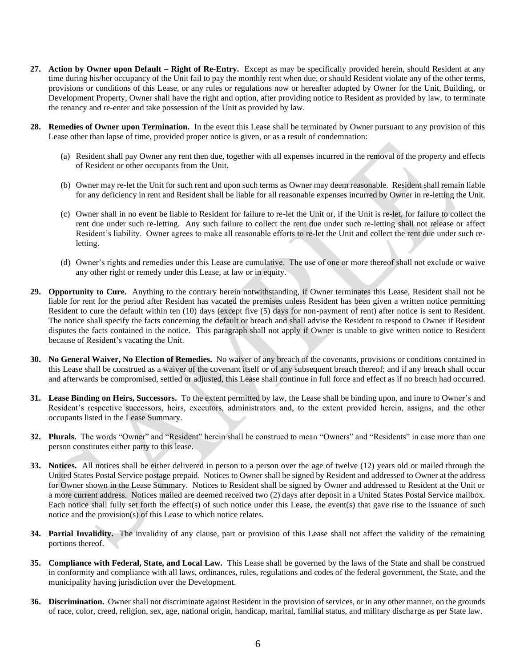- **27. Action by Owner upon Default – Right of Re-Entry.** Except as may be specifically provided herein, should Resident at any time during his/her occupancy of the Unit fail to pay the monthly rent when due, or should Resident violate any of the other terms, provisions or conditions of this Lease, or any rules or regulations now or hereafter adopted by Owner for the Unit, Building, or Development Property, Owner shall have the right and option, after providing notice to Resident as provided by law, to terminate the tenancy and re-enter and take possession of the Unit as provided by law.
- **28. Remedies of Owner upon Termination.** In the event this Lease shall be terminated by Owner pursuant to any provision of this Lease other than lapse of time, provided proper notice is given, or as a result of condemnation:
	- (a) Resident shall pay Owner any rent then due, together with all expenses incurred in the removal of the property and effects of Resident or other occupants from the Unit.
	- (b) Owner may re-let the Unit for such rent and upon such terms as Owner may deem reasonable. Resident shall remain liable for any deficiency in rent and Resident shall be liable for all reasonable expenses incurred by Owner in re-letting the Unit.
	- (c) Owner shall in no event be liable to Resident for failure to re-let the Unit or, if the Unit is re-let, for failure to collect the rent due under such re-letting. Any such failure to collect the rent due under such re-letting shall not release or affect Resident's liability. Owner agrees to make all reasonable efforts to re-let the Unit and collect the rent due under such reletting.
	- (d) Owner's rights and remedies under this Lease are cumulative. The use of one or more thereof shall not exclude or waive any other right or remedy under this Lease, at law or in equity.
- **29. Opportunity to Cure.** Anything to the contrary herein notwithstanding, if Owner terminates this Lease, Resident shall not be liable for rent for the period after Resident has vacated the premises unless Resident has been given a written notice permitting Resident to cure the default within ten (10) days (except five (5) days for non-payment of rent) after notice is sent to Resident. The notice shall specify the facts concerning the default or breach and shall advise the Resident to respond to Owner if Resident disputes the facts contained in the notice. This paragraph shall not apply if Owner is unable to give written notice to Resident because of Resident's vacating the Unit.
- **30. No General Waiver, No Election of Remedies.** No waiver of any breach of the covenants, provisions or conditions contained in this Lease shall be construed as a waiver of the covenant itself or of any subsequent breach thereof; and if any breach shall occur and afterwards be compromised, settled or adjusted, this Lease shall continue in full force and effect as if no breach had occurred.
- **31. Lease Binding on Heirs, Successors.** To the extent permitted by law, the Lease shall be binding upon, and inure to Owner's and Resident's respective successors, heirs, executors, administrators and, to the extent provided herein, assigns, and the other occupants listed in the Lease Summary.
- **32. Plurals.** The words "Owner" and "Resident" herein shall be construed to mean "Owners" and "Residents" in case more than one person constitutes either party to this lease.
- **33. Notices.** All notices shall be either delivered in person to a person over the age of twelve (12) years old or mailed through the United States Postal Service postage prepaid. Notices to Owner shall be signed by Resident and addressed to Owner at the address for Owner shown in the Lease Summary. Notices to Resident shall be signed by Owner and addressed to Resident at the Unit or a more current address. Notices mailed are deemed received two (2) days after deposit in a United States Postal Service mailbox. Each notice shall fully set forth the effect(s) of such notice under this Lease, the event(s) that gave rise to the issuance of such notice and the provision(s) of this Lease to which notice relates.
- **34. Partial Invalidity.** The invalidity of any clause, part or provision of this Lease shall not affect the validity of the remaining portions thereof.
- **35. Compliance with Federal, State, and Local Law.** This Lease shall be governed by the laws of the State and shall be construed in conformity and compliance with all laws, ordinances, rules, regulations and codes of the federal government, the State, and the municipality having jurisdiction over the Development.
- **36. Discrimination.** Owner shall not discriminate against Resident in the provision of services, or in any other manner, on the grounds of race, color, creed, religion, sex, age, national origin, handicap, marital, familial status, and military discharge as per State law.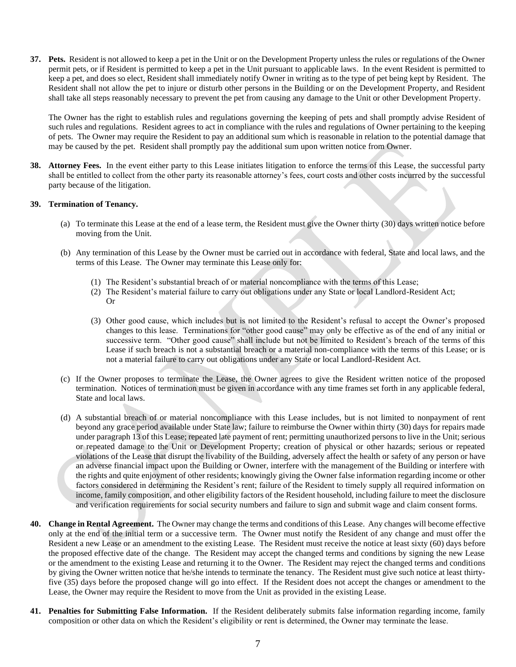**37. Pets.** Resident is not allowed to keep a pet in the Unit or on the Development Property unless the rules or regulations of the Owner permit pets, or if Resident is permitted to keep a pet in the Unit pursuant to applicable laws. In the event Resident is permitted to keep a pet, and does so elect, Resident shall immediately notify Owner in writing as to the type of pet being kept by Resident. The Resident shall not allow the pet to injure or disturb other persons in the Building or on the Development Property, and Resident shall take all steps reasonably necessary to prevent the pet from causing any damage to the Unit or other Development Property.

The Owner has the right to establish rules and regulations governing the keeping of pets and shall promptly advise Resident of such rules and regulations. Resident agrees to act in compliance with the rules and regulations of Owner pertaining to the keeping of pets. The Owner may require the Resident to pay an additional sum which is reasonable in relation to the potential damage that may be caused by the pet. Resident shall promptly pay the additional sum upon written notice from Owner.

**38. Attorney Fees.** In the event either party to this Lease initiates litigation to enforce the terms of this Lease, the successful party shall be entitled to collect from the other party its reasonable attorney's fees, court costs and other costs incurred by the successful party because of the litigation.

#### **39. Termination of Tenancy.**

- (a) To terminate this Lease at the end of a lease term, the Resident must give the Owner thirty (30) days written notice before moving from the Unit.
- (b) Any termination of this Lease by the Owner must be carried out in accordance with federal, State and local laws, and the terms of this Lease. The Owner may terminate this Lease only for:
	- (1) The Resident's substantial breach of or material noncompliance with the terms of this Lease;
	- (2) The Resident's material failure to carry out obligations under any State or local Landlord-Resident Act; Or
	- (3) Other good cause, which includes but is not limited to the Resident's refusal to accept the Owner's proposed changes to this lease. Terminations for "other good cause" may only be effective as of the end of any initial or successive term. "Other good cause" shall include but not be limited to Resident's breach of the terms of this Lease if such breach is not a substantial breach or a material non-compliance with the terms of this Lease; or is not a material failure to carry out obligations under any State or local Landlord-Resident Act.
- (c) If the Owner proposes to terminate the Lease, the Owner agrees to give the Resident written notice of the proposed termination. Notices of termination must be given in accordance with any time frames set forth in any applicable federal, State and local laws.
- (d) A substantial breach of or material noncompliance with this Lease includes, but is not limited to nonpayment of rent beyond any grace period available under State law; failure to reimburse the Owner within thirty (30) days for repairs made under paragraph 13 of this Lease; repeated late payment of rent; permitting unauthorized persons to live in the Unit; serious or repeated damage to the Unit or Development Property; creation of physical or other hazards; serious or repeated violations of the Lease that disrupt the livability of the Building, adversely affect the health or safety of any person or have an adverse financial impact upon the Building or Owner, interfere with the management of the Building or interfere with the rights and quite enjoyment of other residents; knowingly giving the Owner false information regarding income or other factors considered in determining the Resident's rent; failure of the Resident to timely supply all required information on income, family composition, and other eligibility factors of the Resident household, including failure to meet the disclosure and verification requirements for social security numbers and failure to sign and submit wage and claim consent forms.
- **40. Change in Rental Agreement.** The Owner may change the terms and conditions of this Lease. Any changes will become effective only at the end of the initial term or a successive term. The Owner must notify the Resident of any change and must offer the Resident a new Lease or an amendment to the existing Lease. The Resident must receive the notice at least sixty (60) days before the proposed effective date of the change. The Resident may accept the changed terms and conditions by signing the new Lease or the amendment to the existing Lease and returning it to the Owner. The Resident may reject the changed terms and conditions by giving the Owner written notice that he/she intends to terminate the tenancy. The Resident must give such notice at least thirtyfive (35) days before the proposed change will go into effect. If the Resident does not accept the changes or amendment to the Lease, the Owner may require the Resident to move from the Unit as provided in the existing Lease.
- **41. Penalties for Submitting False Information.** If the Resident deliberately submits false information regarding income, family composition or other data on which the Resident's eligibility or rent is determined, the Owner may terminate the lease.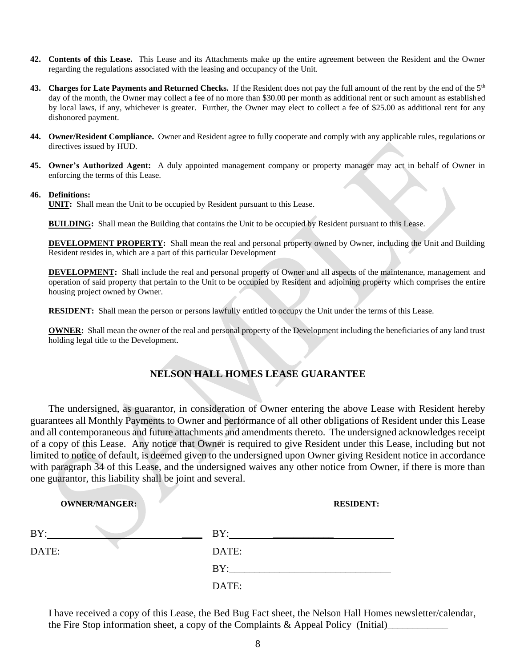- **42. Contents of this Lease.** This Lease and its Attachments make up the entire agreement between the Resident and the Owner regarding the regulations associated with the leasing and occupancy of the Unit.
- **43. Charges for Late Payments and Returned Checks.** If the Resident does not pay the full amount of the rent by the end of the 5th day of the month, the Owner may collect a fee of no more than \$30.00 per month as additional rent or such amount as established by local laws, if any, whichever is greater. Further, the Owner may elect to collect a fee of \$25.00 as additional rent for any dishonored payment.
- **44. Owner/Resident Compliance.** Owner and Resident agree to fully cooperate and comply with any applicable rules, regulations or directives issued by HUD.
- **45. Owner's Authorized Agent:** A duly appointed management company or property manager may act in behalf of Owner in enforcing the terms of this Lease.

#### **46. Definitions:**

**UNIT:** Shall mean the Unit to be occupied by Resident pursuant to this Lease.

**BUILDING:** Shall mean the Building that contains the Unit to be occupied by Resident pursuant to this Lease.

**DEVELOPMENT PROPERTY:** Shall mean the real and personal property owned by Owner, including the Unit and Building Resident resides in, which are a part of this particular Development

**DEVELOPMENT:** Shall include the real and personal property of Owner and all aspects of the maintenance, management and operation of said property that pertain to the Unit to be occupied by Resident and adjoining property which comprises the entire housing project owned by Owner.

**RESIDENT:** Shall mean the person or persons lawfully entitled to occupy the Unit under the terms of this Lease.

**OWNER:** Shall mean the owner of the real and personal property of the Development including the beneficiaries of any land trust holding legal title to the Development.

#### **NELSON HALL HOMES LEASE GUARANTEE**

The undersigned, as guarantor, in consideration of Owner entering the above Lease with Resident hereby guarantees all Monthly Payments to Owner and performance of all other obligations of Resident under this Lease and all contemporaneous and future attachments and amendments thereto. The undersigned acknowledges receipt of a copy of this Lease. Any notice that Owner is required to give Resident under this Lease, including but not limited to notice of default, is deemed given to the undersigned upon Owner giving Resident notice in accordance with paragraph 34 of this Lease, and the undersigned waives any other notice from Owner, if there is more than one guarantor, this liability shall be joint and several.

| <b>OWNER/MANGER:</b> | <b>RESIDENT:</b> |
|----------------------|------------------|
| BY:                  | BY:              |
| DATE:                | DATE:            |
|                      | BY:              |
|                      | DATE:            |

I have received a copy of this Lease, the Bed Bug Fact sheet, the Nelson Hall Homes newsletter/calendar, the Fire Stop information sheet, a copy of the Complaints & Appeal Policy (Initial)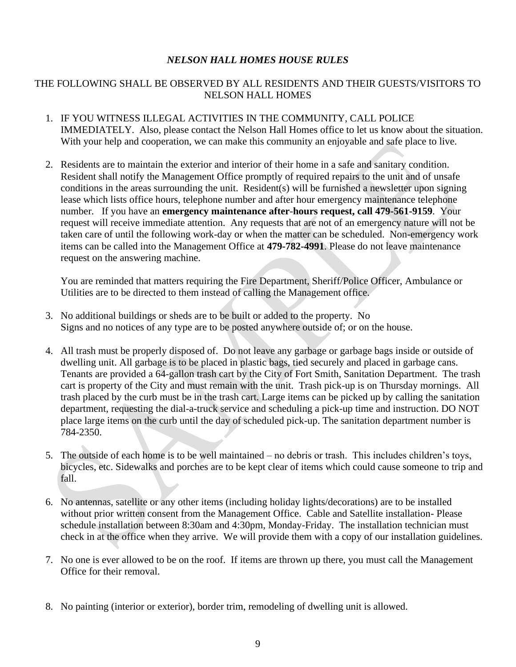#### *NELSON HALL HOMES HOUSE RULES*

#### THE FOLLOWING SHALL BE OBSERVED BY ALL RESIDENTS AND THEIR GUESTS/VISITORS TO NELSON HALL HOMES

- 1. IF YOU WITNESS ILLEGAL ACTIVITIES IN THE COMMUNITY, CALL POLICE IMMEDIATELY. Also, please contact the Nelson Hall Homes office to let us know about the situation. With your help and cooperation, we can make this community an enjoyable and safe place to live.
- 2. Residents are to maintain the exterior and interior of their home in a safe and sanitary condition. Resident shall notify the Management Office promptly of required repairs to the unit and of unsafe conditions in the areas surrounding the unit. Resident(s) will be furnished a newsletter upon signing lease which lists office hours, telephone number and after hour emergency maintenance telephone number. If you have an **emergency maintenance after**-**hours request, call 479-561-9159**. Your request will receive immediate attention. Any requests that are not of an emergency nature will not be taken care of until the following work-day or when the matter can be scheduled. Non-emergency work items can be called into the Management Office at **479-782-4991**. Please do not leave maintenance request on the answering machine.

You are reminded that matters requiring the Fire Department, Sheriff/Police Officer, Ambulance or Utilities are to be directed to them instead of calling the Management office.

- 3. No additional buildings or sheds are to be built or added to the property. No Signs and no notices of any type are to be posted anywhere outside of; or on the house.
- 4. All trash must be properly disposed of. Do not leave any garbage or garbage bags inside or outside of dwelling unit. All garbage is to be placed in plastic bags, tied securely and placed in garbage cans. Tenants are provided a 64-gallon trash cart by the City of Fort Smith, Sanitation Department. The trash cart is property of the City and must remain with the unit. Trash pick-up is on Thursday mornings. All trash placed by the curb must be in the trash cart. Large items can be picked up by calling the sanitation department, requesting the dial-a-truck service and scheduling a pick-up time and instruction. DO NOT place large items on the curb until the day of scheduled pick-up. The sanitation department number is 784-2350.
- 5. The outside of each home is to be well maintained no debris or trash. This includes children's toys, bicycles, etc. Sidewalks and porches are to be kept clear of items which could cause someone to trip and fall.
- 6. No antennas, satellite or any other items (including holiday lights/decorations) are to be installed without prior written consent from the Management Office. Cable and Satellite installation- Please schedule installation between 8:30am and 4:30pm, Monday-Friday. The installation technician must check in at the office when they arrive. We will provide them with a copy of our installation guidelines.
- 7. No one is ever allowed to be on the roof. If items are thrown up there, you must call the Management Office for their removal.
- 8. No painting (interior or exterior), border trim, remodeling of dwelling unit is allowed.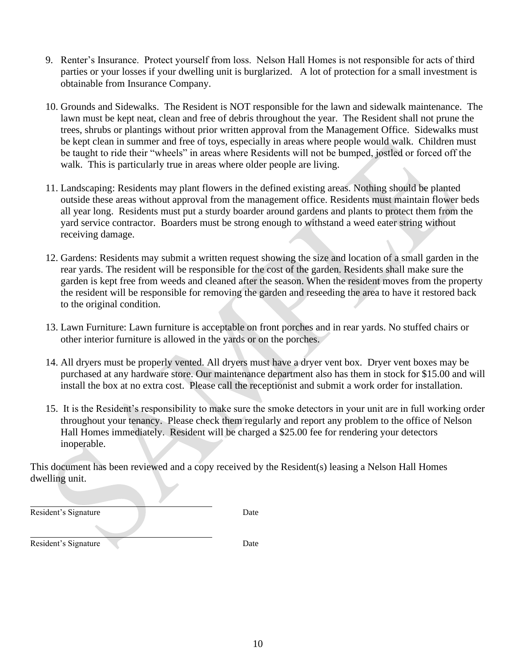- 9. Renter's Insurance. Protect yourself from loss. Nelson Hall Homes is not responsible for acts of third parties or your losses if your dwelling unit is burglarized. A lot of protection for a small investment is obtainable from Insurance Company.
- 10. Grounds and Sidewalks. The Resident is NOT responsible for the lawn and sidewalk maintenance. The lawn must be kept neat, clean and free of debris throughout the year. The Resident shall not prune the trees, shrubs or plantings without prior written approval from the Management Office. Sidewalks must be kept clean in summer and free of toys, especially in areas where people would walk. Children must be taught to ride their "wheels" in areas where Residents will not be bumped, jostled or forced off the walk. This is particularly true in areas where older people are living.
- 11. Landscaping: Residents may plant flowers in the defined existing areas. Nothing should be planted outside these areas without approval from the management office. Residents must maintain flower beds all year long. Residents must put a sturdy boarder around gardens and plants to protect them from the yard service contractor. Boarders must be strong enough to withstand a weed eater string without receiving damage.
- 12. Gardens: Residents may submit a written request showing the size and location of a small garden in the rear yards. The resident will be responsible for the cost of the garden. Residents shall make sure the garden is kept free from weeds and cleaned after the season. When the resident moves from the property the resident will be responsible for removing the garden and reseeding the area to have it restored back to the original condition.
- 13. Lawn Furniture: Lawn furniture is acceptable on front porches and in rear yards. No stuffed chairs or other interior furniture is allowed in the yards or on the porches.
- 14. All dryers must be properly vented. All dryers must have a dryer vent box. Dryer vent boxes may be purchased at any hardware store. Our maintenance department also has them in stock for \$15.00 and will install the box at no extra cost. Please call the receptionist and submit a work order for installation.
- 15. It is the Resident's responsibility to make sure the smoke detectors in your unit are in full working order throughout your tenancy. Please check them regularly and report any problem to the office of Nelson Hall Homes immediately. Resident will be charged a \$25.00 fee for rendering your detectors inoperable.

This document has been reviewed and a copy received by the Resident(s) leasing a Nelson Hall Homes dwelling unit.

Resident's Signature Date

Resident's Signature Date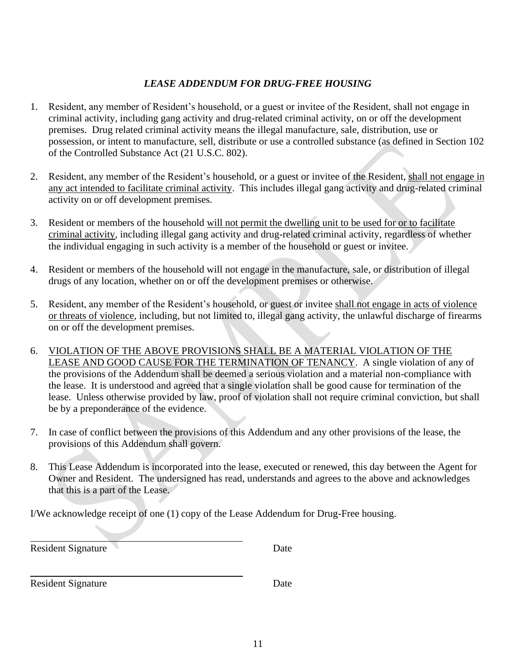### *LEASE ADDENDUM FOR DRUG-FREE HOUSING*

- 1. Resident, any member of Resident's household, or a guest or invitee of the Resident, shall not engage in criminal activity, including gang activity and drug-related criminal activity, on or off the development premises. Drug related criminal activity means the illegal manufacture, sale, distribution, use or possession, or intent to manufacture, sell, distribute or use a controlled substance (as defined in Section 102 of the Controlled Substance Act (21 U.S.C. 802).
- 2. Resident, any member of the Resident's household, or a guest or invitee of the Resident, shall not engage in any act intended to facilitate criminal activity. This includes illegal gang activity and drug-related criminal activity on or off development premises.
- 3. Resident or members of the household will not permit the dwelling unit to be used for or to facilitate criminal activity, including illegal gang activity and drug-related criminal activity, regardless of whether the individual engaging in such activity is a member of the household or guest or invitee.
- 4. Resident or members of the household will not engage in the manufacture, sale, or distribution of illegal drugs of any location, whether on or off the development premises or otherwise.
- 5. Resident, any member of the Resident's household, or guest or invitee shall not engage in acts of violence or threats of violence, including, but not limited to, illegal gang activity, the unlawful discharge of firearms on or off the development premises.
- 6. VIOLATION OF THE ABOVE PROVISIONS SHALL BE A MATERIAL VIOLATION OF THE LEASE AND GOOD CAUSE FOR THE TERMINATION OF TENANCY. A single violation of any of the provisions of the Addendum shall be deemed a serious violation and a material non-compliance with the lease. It is understood and agreed that a single violation shall be good cause for termination of the lease. Unless otherwise provided by law, proof of violation shall not require criminal conviction, but shall be by a preponderance of the evidence.
- 7. In case of conflict between the provisions of this Addendum and any other provisions of the lease, the provisions of this Addendum shall govern.
- 8. This Lease Addendum is incorporated into the lease, executed or renewed, this day between the Agent for Owner and Resident. The undersigned has read, understands and agrees to the above and acknowledges that this is a part of the Lease.

I/We acknowledge receipt of one (1) copy of the Lease Addendum for Drug-Free housing.

| <b>Resident Signature</b> | Date |  |
|---------------------------|------|--|
|                           |      |  |

Resident Signature Date

l,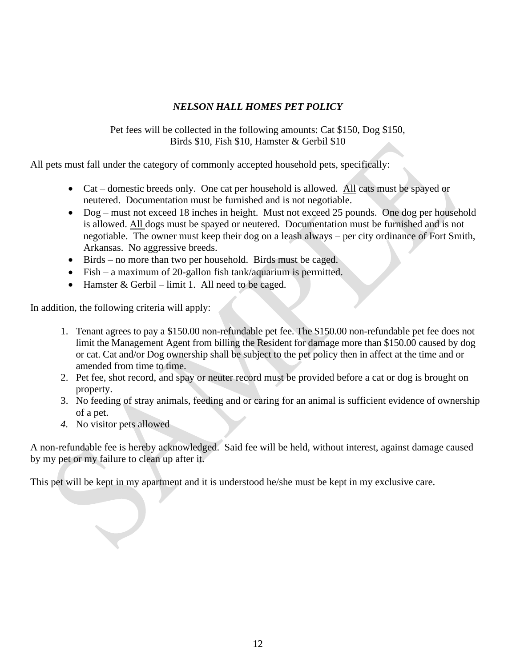#### *NELSON HALL HOMES PET POLICY*

Pet fees will be collected in the following amounts: Cat \$150, Dog \$150, Birds \$10, Fish \$10, Hamster & Gerbil \$10

All pets must fall under the category of commonly accepted household pets, specifically:

- Cat domestic breeds only. One cat per household is allowed. All cats must be spayed or neutered. Documentation must be furnished and is not negotiable.
- Dog must not exceed 18 inches in height. Must not exceed 25 pounds. One dog per household is allowed. All dogs must be spayed or neutered. Documentation must be furnished and is not negotiable. The owner must keep their dog on a leash always – per city ordinance of Fort Smith, Arkansas. No aggressive breeds.
- Birds no more than two per household. Birds must be caged.
- Fish a maximum of 20-gallon fish tank/aquarium is permitted.
- Hamster & Gerbil limit 1. All need to be caged.

In addition, the following criteria will apply:

- 1. Tenant agrees to pay a \$150.00 non-refundable pet fee. The \$150.00 non-refundable pet fee does not limit the Management Agent from billing the Resident for damage more than \$150.00 caused by dog or cat. Cat and/or Dog ownership shall be subject to the pet policy then in affect at the time and or amended from time to time.
- 2. Pet fee, shot record, and spay or neuter record must be provided before a cat or dog is brought on property.
- 3. No feeding of stray animals, feeding and or caring for an animal is sufficient evidence of ownership of a pet.
- *4.* No visitor pets allowed

A non-refundable fee is hereby acknowledged. Said fee will be held, without interest, against damage caused by my pet or my failure to clean up after it.

This pet will be kept in my apartment and it is understood he/she must be kept in my exclusive care.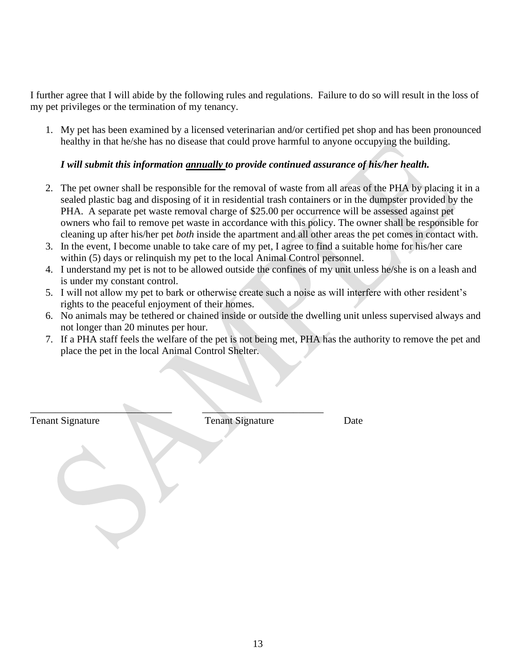I further agree that I will abide by the following rules and regulations. Failure to do so will result in the loss of my pet privileges or the termination of my tenancy.

1. My pet has been examined by a licensed veterinarian and/or certified pet shop and has been pronounced healthy in that he/she has no disease that could prove harmful to anyone occupying the building.

#### *I will submit this information annually to provide continued assurance of his/her health.*

- 2. The pet owner shall be responsible for the removal of waste from all areas of the PHA by placing it in a sealed plastic bag and disposing of it in residential trash containers or in the dumpster provided by the PHA. A separate pet waste removal charge of \$25.00 per occurrence will be assessed against pet owners who fail to remove pet waste in accordance with this policy. The owner shall be responsible for cleaning up after his/her pet *both* inside the apartment and all other areas the pet comes in contact with.
- 3. In the event, I become unable to take care of my pet, I agree to find a suitable home for his/her care within (5) days or relinquish my pet to the local Animal Control personnel.
- 4. I understand my pet is not to be allowed outside the confines of my unit unless he/she is on a leash and is under my constant control.
- 5. I will not allow my pet to bark or otherwise create such a noise as will interfere with other resident's rights to the peaceful enjoyment of their homes.
- 6. No animals may be tethered or chained inside or outside the dwelling unit unless supervised always and not longer than 20 minutes per hour.
- 7. If a PHA staff feels the welfare of the pet is not being met, PHA has the authority to remove the pet and place the pet in the local Animal Control Shelter.

Tenant Signature Date Tenant Signature Date

 $\qquad \qquad \blacksquare$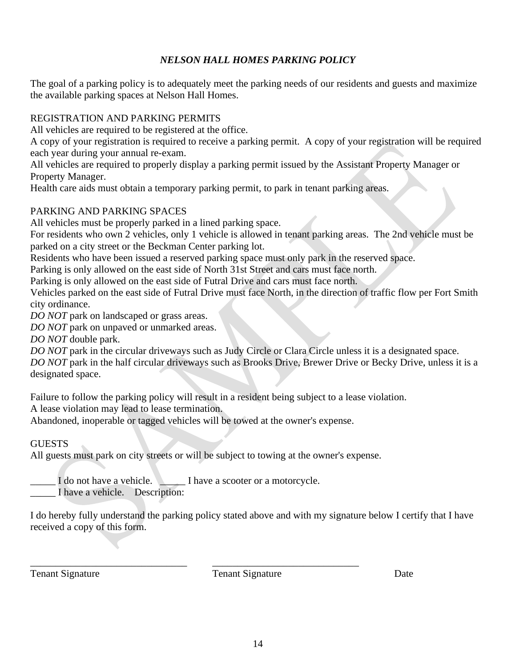## *NELSON HALL HOMES PARKING POLICY*

The goal of a parking policy is to adequately meet the parking needs of our residents and guests and maximize the available parking spaces at Nelson Hall Homes.

#### REGISTRATION AND PARKING PERMITS

All vehicles are required to be registered at the office.

A copy of your registration is required to receive a parking permit. A copy of your registration will be required each year during your annual re-exam.

All vehicles are required to properly display a parking permit issued by the Assistant Property Manager or Property Manager.

Health care aids must obtain a temporary parking permit, to park in tenant parking areas.

### PARKING AND PARKING SPACES

All vehicles must be properly parked in a lined parking space.

For residents who own 2 vehicles, only 1 vehicle is allowed in tenant parking areas. The 2nd vehicle must be parked on a city street or the Beckman Center parking lot.

Residents who have been issued a reserved parking space must only park in the reserved space.

Parking is only allowed on the east side of North 31st Street and cars must face north.

Parking is only allowed on the east side of Futral Drive and cars must face north.

Vehicles parked on the east side of Futral Drive must face North, in the direction of traffic flow per Fort Smith city ordinance.

*DO NOT* park on landscaped or grass areas.

*DO NOT* park on unpaved or unmarked areas.

*DO NOT* double park.

*DO NOT* park in the circular driveways such as Judy Circle or Clara Circle unless it is a designated space.

*DO NOT* park in the half circular driveways such as Brooks Drive, Brewer Drive or Becky Drive, unless it is a designated space.

Failure to follow the parking policy will result in a resident being subject to a lease violation.

A lease violation may lead to lease termination.

Abandoned, inoperable or tagged vehicles will be towed at the owner's expense.

#### **GUESTS**

All guests must park on city streets or will be subject to towing at the owner's expense.

\_\_\_\_\_\_\_\_\_\_\_\_\_\_\_\_\_\_\_\_\_\_\_\_\_\_\_\_\_\_\_ \_\_\_\_\_\_\_\_\_\_\_\_\_\_\_\_\_\_\_\_\_\_\_\_\_\_\_\_\_

I do not have a vehicle. I have a scooter or a motorcycle.

\_\_\_\_\_ I have a vehicle. Description:

I do hereby fully understand the parking policy stated above and with my signature below I certify that I have received a copy of this form.

Tenant Signature Tenant Signature Date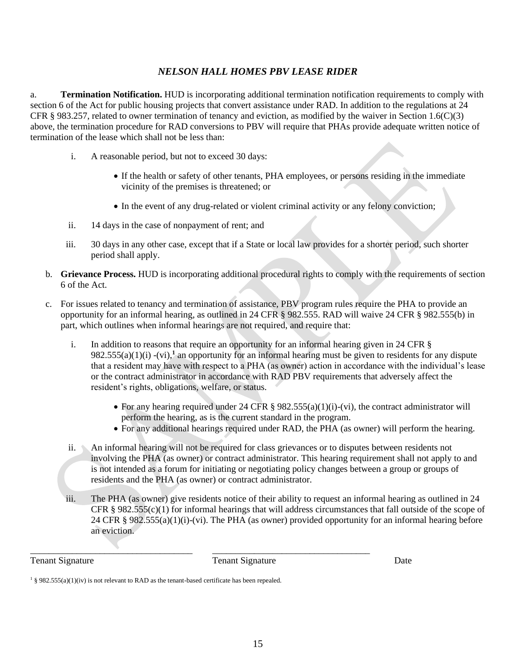#### *NELSON HALL HOMES PBV LEASE RIDER*

a. **Termination Notification.** HUD is incorporating additional termination notification requirements to comply with section 6 of the Act for public housing projects that convert assistance under RAD. In addition to the regulations at 24 CFR § 983.257, related to owner termination of tenancy and eviction, as modified by the waiver in Section 1.6(C)(3) above, the termination procedure for RAD conversions to PBV will require that PHAs provide adequate written notice of termination of the lease which shall not be less than:

- i. A reasonable period, but not to exceed 30 days:
	- If the health or safety of other tenants, PHA employees, or persons residing in the immediate vicinity of the premises is threatened; or
	- In the event of any drug-related or violent criminal activity or any felony conviction;
- ii. 14 days in the case of nonpayment of rent; and
- iii. 30 days in any other case, except that if a State or local law provides for a shorter period, such shorter period shall apply.
- b. **Grievance Process.** HUD is incorporating additional procedural rights to comply with the requirements of section 6 of the Act.
- c. For issues related to tenancy and termination of assistance, PBV program rules require the PHA to provide an opportunity for an informal hearing, as outlined in 24 CFR § 982.555. RAD will waive 24 CFR § 982.555(b) in part, which outlines when informal hearings are not required, and require that:
	- i. In addition to reasons that require an opportunity for an informal hearing given in 24 CFR §  $982.555(a)(1)(i)$  -(vi),<sup>1</sup> an opportunity for an informal hearing must be given to residents for any dispute that a resident may have with respect to a PHA (as owner) action in accordance with the individual's lease or the contract administrator in accordance with RAD PBV requirements that adversely affect the resident's rights, obligations, welfare, or status.
		- For any hearing required under 24 CFR  $\S$  982.555(a)(1)(i)-(vi), the contract administrator will perform the hearing, as is the current standard in the program.
		- For any additional hearings required under RAD, the PHA (as owner) will perform the hearing.
	- ii. An informal hearing will not be required for class grievances or to disputes between residents not involving the PHA (as owner) or contract administrator. This hearing requirement shall not apply to and is not intended as a forum for initiating or negotiating policy changes between a group or groups of residents and the PHA (as owner) or contract administrator.
	- iii. The PHA (as owner) give residents notice of their ability to request an informal hearing as outlined in 24 CFR § 982.555(c)(1) for informal hearings that will address circumstances that fall outside of the scope of 24 CFR § 982.555(a)(1)(i)-(vi). The PHA (as owner) provided opportunity for an informal hearing before an eviction.

Tenant Signature Date **Tenant Signature** Date

\_\_\_\_\_\_\_\_\_\_\_\_\_\_\_\_\_\_\_\_\_\_\_\_\_\_\_\_\_\_\_\_\_\_\_ \_\_\_\_\_\_\_\_\_\_\_\_\_\_\_\_\_\_\_\_\_\_\_\_\_\_\_\_\_\_\_\_\_\_

<sup>&</sup>lt;sup>1</sup> § 982.555(a)(1)(iv) is not relevant to RAD as the tenant-based certificate has been repealed.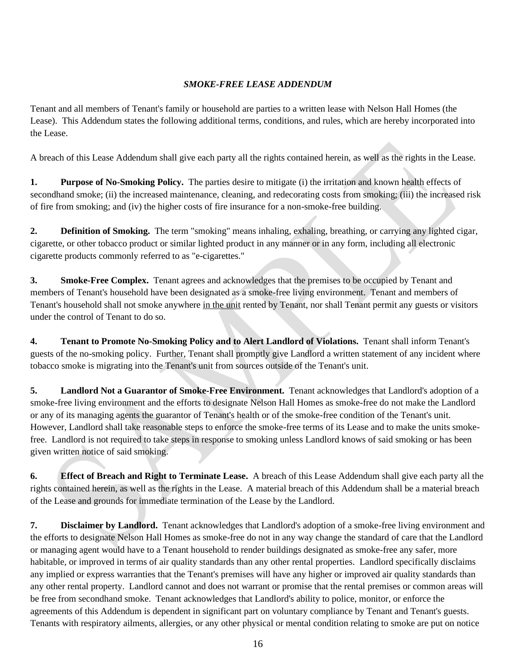#### *SMOKE-FREE LEASE ADDENDUM*

Tenant and all members of Tenant's family or household are parties to a written lease with Nelson Hall Homes (the Lease). This Addendum states the following additional terms, conditions, and rules, which are hereby incorporated into the Lease.

A breach of this Lease Addendum shall give each party all the rights contained herein, as well as the rights in the Lease.

**1. Purpose of No-Smoking Policy.** The parties desire to mitigate (i) the irritation and known health effects of secondhand smoke; (ii) the increased maintenance, cleaning, and redecorating costs from smoking; (iii) the increased risk of fire from smoking; and (iv) the higher costs of fire insurance for a non-smoke-free building.

**2. Definition of Smoking.** The term "smoking" means inhaling, exhaling, breathing, or carrying any lighted cigar, cigarette, or other tobacco product or similar lighted product in any manner or in any form, including all electronic cigarette products commonly referred to as "e-cigarettes."

**3. Smoke-Free Complex.** Tenant agrees and acknowledges that the premises to be occupied by Tenant and members of Tenant's household have been designated as a smoke-free living environment. Tenant and members of Tenant's household shall not smoke anywhere in the unit rented by Tenant, nor shall Tenant permit any guests or visitors under the control of Tenant to do so.

**4. Tenant to Promote No-Smoking Policy and to Alert Landlord of Violations.** Tenant shall inform Tenant's guests of the no-smoking policy. Further, Tenant shall promptly give Landlord a written statement of any incident where tobacco smoke is migrating into the Tenant's unit from sources outside of the Tenant's unit.

**5. Landlord Not a Guarantor of Smoke-Free Environment.** Tenant acknowledges that Landlord's adoption of a smoke-free living environment and the efforts to designate Nelson Hall Homes as smoke-free do not make the Landlord or any of its managing agents the guarantor of Tenant's health or of the smoke-free condition of the Tenant's unit. However, Landlord shall take reasonable steps to enforce the smoke-free terms of its Lease and to make the units smokefree. Landlord is not required to take steps in response to smoking unless Landlord knows of said smoking or has been given written notice of said smoking.

**6. Effect of Breach and Right to Terminate Lease.** A breach of this Lease Addendum shall give each party all the rights contained herein, as well as the rights in the Lease. A material breach of this Addendum shall be a material breach of the Lease and grounds for immediate termination of the Lease by the Landlord.

**7. Disclaimer by Landlord.** Tenant acknowledges that Landlord's adoption of a smoke-free living environment and the efforts to designate Nelson Hall Homes as smoke-free do not in any way change the standard of care that the Landlord or managing agent would have to a Tenant household to render buildings designated as smoke-free any safer, more habitable, or improved in terms of air quality standards than any other rental properties. Landlord specifically disclaims any implied or express warranties that the Tenant's premises will have any higher or improved air quality standards than any other rental property. Landlord cannot and does not warrant or promise that the rental premises or common areas will be free from secondhand smoke. Tenant acknowledges that Landlord's ability to police, monitor, or enforce the agreements of this Addendum is dependent in significant part on voluntary compliance by Tenant and Tenant's guests. Tenants with respiratory ailments, allergies, or any other physical or mental condition relating to smoke are put on notice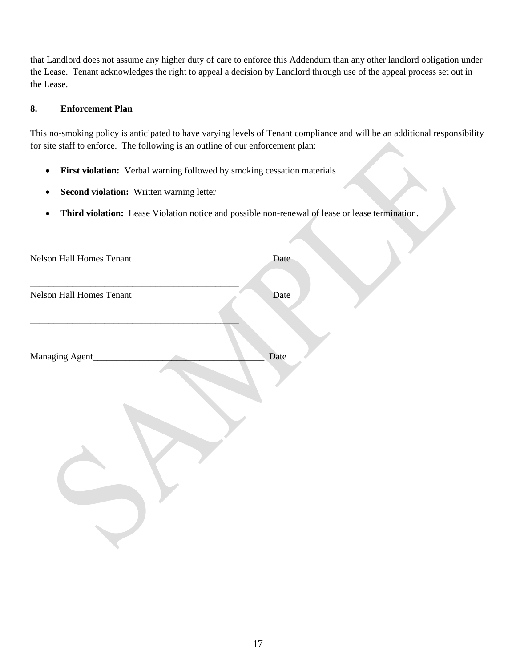that Landlord does not assume any higher duty of care to enforce this Addendum than any other landlord obligation under the Lease. Tenant acknowledges the right to appeal a decision by Landlord through use of the appeal process set out in the Lease.

#### **8. Enforcement Plan**

This no-smoking policy is anticipated to have varying levels of Tenant compliance and will be an additional responsibility for site staff to enforce. The following is an outline of our enforcement plan:

 $\overline{\phantom{0}}$ 

- **First violation:** Verbal warning followed by smoking cessation materials
- **Second violation:** Written warning letter
- **Third violation:** Lease Violation notice and possible non-renewal of lease or lease termination.

| Nelson Hall Homes Tenant | Date |
|--------------------------|------|
| Nelson Hall Homes Tenant | Date |
| Managing Agent_          | Date |
|                          |      |